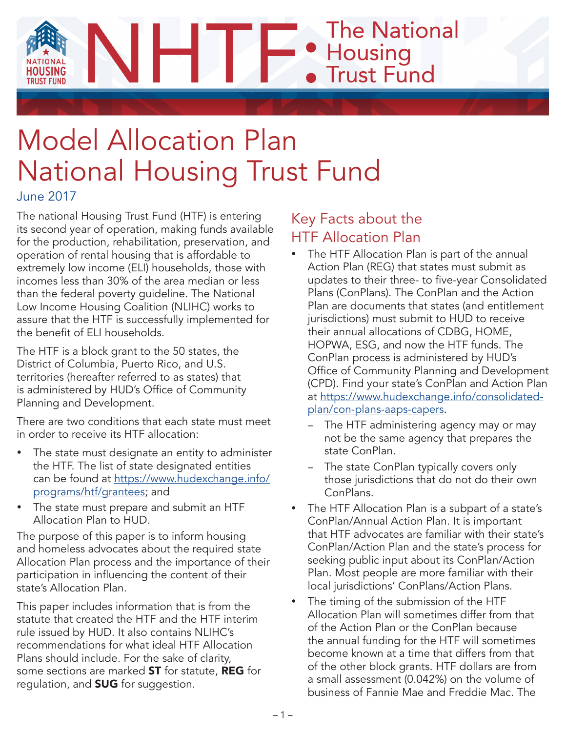**The National** • Housing<br>• Trust Fund

# Model Allocation Plan National Housing Trust Fund

June 2017

The national Housing Trust Fund (HTF) is entering its second year of operation, making funds available for the production, rehabilitation, preservation, and operation of rental housing that is affordable to extremely low income (ELI) households, those with incomes less than 30% of the area median or less than the federal poverty guideline. The National Low Income Housing Coalition (NLIHC) works to assure that the HTF is successfully implemented for the benefit of ELI households.

The HTF is a block grant to the 50 states, the District of Columbia, Puerto Rico, and U.S. territories (hereafter referred to as states) that is administered by HUD's Office of Community Planning and Development.

There are two conditions that each state must meet in order to receive its HTF allocation:

- The state must designate an entity to administer the HTF. The list of state designated entities can be found at [https://www.hudexchange.info/](https://www.hudexchange.info/programs/htf/grantees) [programs/htf/grantees;](https://www.hudexchange.info/programs/htf/grantees) and
- The state must prepare and submit an HTF Allocation Plan to HUD.

The purpose of this paper is to inform housing and homeless advocates about the required state Allocation Plan process and the importance of their participation in influencing the content of their state's Allocation Plan.

This paper includes information that is from the statute that created the HTF and the HTF interim rule issued by HUD. It also contains NLIHC's recommendations for what ideal HTF Allocation Plans should include. For the sake of clarity, some sections are marked ST for statute, REG for regulation, and **SUG** for suggestion.

# Key Facts about the HTF Allocation Plan

- The HTF Allocation Plan is part of the annual Action Plan (REG) that states must submit as updates to their three- to five-year Consolidated Plans (ConPlans). The ConPlan and the Action Plan are documents that states (and entitlement jurisdictions) must submit to HUD to receive their annual allocations of CDBG, HOME, HOPWA, ESG, and now the HTF funds. The ConPlan process is administered by HUD's Office of Community Planning and Development (CPD). Find your state's ConPlan and Action Plan at [https://www.hudexchange.info/consolidated](https://www.hudexchange.info/consolidated-plan/con-plans-aaps-capers)[plan/con-plans-aaps-capers](https://www.hudexchange.info/consolidated-plan/con-plans-aaps-capers).
	- The HTF administering agency may or may not be the same agency that prepares the state ConPlan.
	- − The state ConPlan typically covers only those jurisdictions that do not do their own ConPlans.
- The HTF Allocation Plan is a subpart of a state's ConPlan/Annual Action Plan. It is important that HTF advocates are familiar with their state's ConPlan/Action Plan and the state's process for seeking public input about its ConPlan/Action Plan. Most people are more familiar with their local jurisdictions' ConPlans/Action Plans.
- The timing of the submission of the HTF Allocation Plan will sometimes differ from that of the Action Plan or the ConPlan because the annual funding for the HTF will sometimes become known at a time that differs from that of the other block grants. HTF dollars are from a small assessment (0.042%) on the volume of business of Fannie Mae and Freddie Mac. The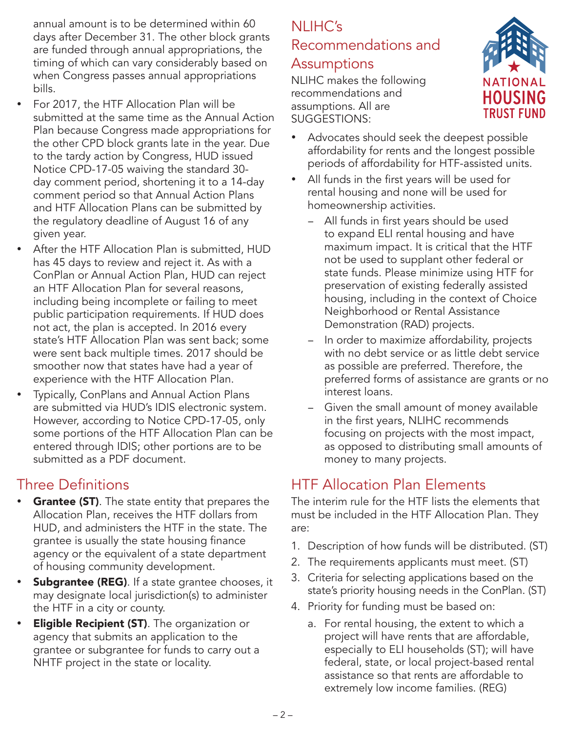annual amount is to be determined within 60 days after December 31. The other block grants are funded through annual appropriations, the timing of which can vary considerably based on when Congress passes annual appropriations bills.

- For 2017, the HTF Allocation Plan will be submitted at the same time as the Annual Action Plan because Congress made appropriations for the other CPD block grants late in the year. Due to the tardy action by Congress, HUD issued Notice CPD-17-05 waiving the standard 30 day comment period, shortening it to a 14-day comment period so that Annual Action Plans and HTF Allocation Plans can be submitted by the regulatory deadline of August 16 of any given year.
- After the HTF Allocation Plan is submitted, HUD has 45 days to review and reject it. As with a ConPlan or Annual Action Plan, HUD can reject an HTF Allocation Plan for several reasons, including being incomplete or failing to meet public participation requirements. If HUD does not act, the plan is accepted. In 2016 every state's HTF Allocation Plan was sent back; some were sent back multiple times. 2017 should be smoother now that states have had a year of experience with the HTF Allocation Plan.
- **Typically, ConPlans and Annual Action Plans** are submitted via HUD's IDIS electronic system. However, according to Notice CPD-17-05, only some portions of the HTF Allocation Plan can be entered through IDIS; other portions are to be submitted as a PDF document.

# Three Definitions

- Grantee (ST). The state entity that prepares the Allocation Plan, receives the HTF dollars from HUD, and administers the HTF in the state. The grantee is usually the state housing finance agency or the equivalent of a state department of housing community development.
- **Subgrantee (REG)**. If a state grantee chooses, it may designate local jurisdiction(s) to administer the HTF in a city or county.
- **Eligible Recipient (ST)**. The organization or agency that submits an application to the grantee or subgrantee for funds to carry out a NHTF project in the state or locality.

# NLIHC's Recommendations and

## Assumptions

NLIHC makes the following recommendations and assumptions. All are SUGGESTIONS:



- Advocates should seek the deepest possible affordability for rents and the longest possible periods of affordability for HTF-assisted units.
- All funds in the first years will be used for rental housing and none will be used for homeownership activities.
	- − All funds in first years should be used to expand ELI rental housing and have maximum impact. It is critical that the HTF not be used to supplant other federal or state funds. Please minimize using HTF for preservation of existing federally assisted housing, including in the context of Choice Neighborhood or Rental Assistance Demonstration (RAD) projects.
	- − In order to maximize affordability, projects with no debt service or as little debt service as possible are preferred. Therefore, the preferred forms of assistance are grants or no interest loans.
	- Given the small amount of money available in the first years, NLIHC recommends focusing on projects with the most impact, as opposed to distributing small amounts of money to many projects.

# HTF Allocation Plan Elements

The interim rule for the HTF lists the elements that must be included in the HTF Allocation Plan. They are:

- 1. Description of how funds will be distributed. (ST)
- 2. The requirements applicants must meet. (ST)
- 3. Criteria for selecting applications based on the state's priority housing needs in the ConPlan. (ST)
- 4. Priority for funding must be based on:
	- a. For rental housing, the extent to which a project will have rents that are affordable, especially to ELI households (ST); will have federal, state, or local project-based rental assistance so that rents are affordable to extremely low income families. (REG)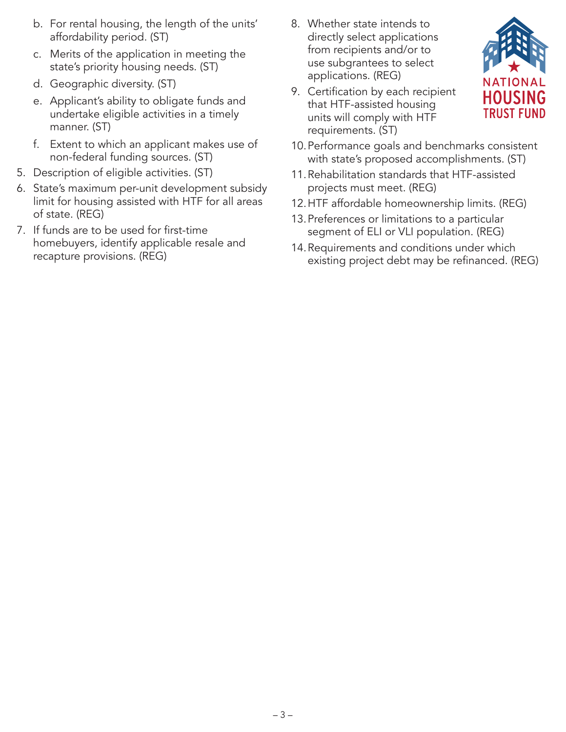- b. For rental housing, the length of the units' affordability period. (ST)
- c. Merits of the application in meeting the state's priority housing needs. (ST)
- d. Geographic diversity. (ST)
- e. Applicant's ability to obligate funds and undertake eligible activities in a timely manner. (ST)
- f. Extent to which an applicant makes use of non-federal funding sources. (ST)
- 5. Description of eligible activities. (ST)
- 6. State's maximum per-unit development subsidy limit for housing assisted with HTF for all areas of state. (REG)
- 7. If funds are to be used for first-time homebuyers, identify applicable resale and recapture provisions. (REG)
- 8. Whether state intends to directly select applications from recipients and/or to use subgrantees to select applications. (REG)
- 9. Certification by each recipient that HTF-assisted housing units will comply with HTF requirements. (ST)



- 10.Performance goals and benchmarks consistent with state's proposed accomplishments. (ST)
- 11.Rehabilitation standards that HTF-assisted projects must meet. (REG)
- 12.HTF affordable homeownership limits. (REG)
- 13.Preferences or limitations to a particular segment of ELI or VLI population. (REG)
- 14.Requirements and conditions under which existing project debt may be refinanced. (REG)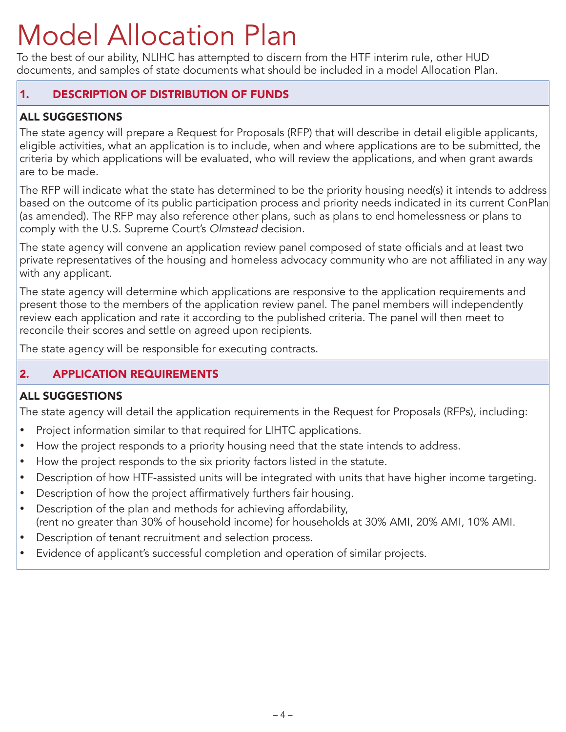# Model Allocation Plan

To the best of our ability, NLIHC has attempted to discern from the HTF interim rule, other HUD documents, and samples of state documents what should be included in a model Allocation Plan.

### 1. DESCRIPTION OF DISTRIBUTION OF FUNDS

## ALL SUGGESTIONS

The state agency will prepare a Request for Proposals (RFP) that will describe in detail eligible applicants, eligible activities, what an application is to include, when and where applications are to be submitted, the criteria by which applications will be evaluated, who will review the applications, and when grant awards are to be made.

The RFP will indicate what the state has determined to be the priority housing need(s) it intends to address based on the outcome of its public participation process and priority needs indicated in its current ConPlan (as amended). The RFP may also reference other plans, such as plans to end homelessness or plans to comply with the U.S. Supreme Court's *Olmstead* decision.

The state agency will convene an application review panel composed of state officials and at least two private representatives of the housing and homeless advocacy community who are not affiliated in any way with any applicant.

The state agency will determine which applications are responsive to the application requirements and present those to the members of the application review panel. The panel members will independently review each application and rate it according to the published criteria. The panel will then meet to reconcile their scores and settle on agreed upon recipients.

The state agency will be responsible for executing contracts.

#### 2. APPLICATION REQUIREMENTS

#### ALL SUGGESTIONS

The state agency will detail the application requirements in the Request for Proposals (RFPs), including:

- Project information similar to that required for LIHTC applications.
- How the project responds to a priority housing need that the state intends to address.
- How the project responds to the six priority factors listed in the statute.
- Description of how HTF-assisted units will be integrated with units that have higher income targeting.
- Description of how the project affirmatively furthers fair housing.
- Description of the plan and methods for achieving affordability, (rent no greater than 30% of household income) for households at 30% AMI, 20% AMI, 10% AMI.
- Description of tenant recruitment and selection process.
- Evidence of applicant's successful completion and operation of similar projects.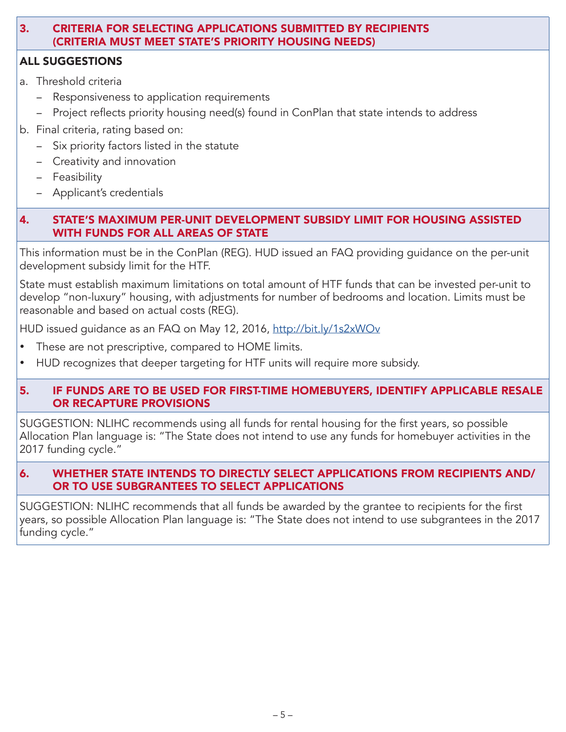#### 3. CRITERIA FOR SELECTING APPLICATIONS SUBMITTED BY RECIPIENTS (CRITERIA MUST MEET STATE'S PRIORITY HOUSING NEEDS)

### ALL SUGGESTIONS

- a. Threshold criteria
	- Responsiveness to application requirements
	- − Project reflects priority housing need(s) found in ConPlan that state intends to address
- b. Final criteria, rating based on:
	- − Six priority factors listed in the statute
	- − Creativity and innovation
	- − Feasibility
	- − Applicant's credentials

#### 4. STATE'S MAXIMUM PER-UNIT DEVELOPMENT SUBSIDY LIMIT FOR HOUSING ASSISTED WITH FUNDS FOR ALL AREAS OF STATE

This information must be in the ConPlan (REG). HUD issued an FAQ providing guidance on the per-unit development subsidy limit for the HTF.

State must establish maximum limitations on total amount of HTF funds that can be invested per-unit to develop "non-luxury" housing, with adjustments for number of bedrooms and location. Limits must be reasonable and based on actual costs (REG).

HUD issued guidance as an FAQ on May 12, 2016,<http://bit.ly/1s2xWOv>

- These are not prescriptive, compared to HOME limits.
- HUD recognizes that deeper targeting for HTF units will require more subsidy.

#### 5. IF FUNDS ARE TO BE USED FOR FIRST-TIME HOMEBUYERS, IDENTIFY APPLICABLE RESALE OR RECAPTURE PROVISIONS

SUGGESTION: NLIHC recommends using all funds for rental housing for the first years, so possible Allocation Plan language is: "The State does not intend to use any funds for homebuyer activities in the 2017 funding cycle."

#### 6. WHETHER STATE INTENDS TO DIRECTLY SELECT APPLICATIONS FROM RECIPIENTS AND/ OR TO USE SUBGRANTEES TO SELECT APPLICATIONS

SUGGESTION: NLIHC recommends that all funds be awarded by the grantee to recipients for the first years, so possible Allocation Plan language is: "The State does not intend to use subgrantees in the 2017 funding cycle."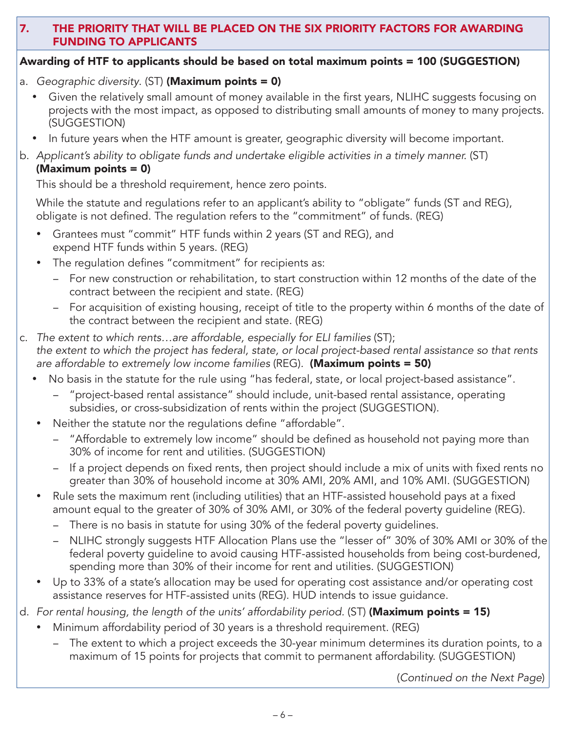#### 7. THE PRIORITY THAT WILL BE PLACED ON THE SIX PRIORITY FACTORS FOR AWARDING FUNDING TO APPLICANTS

#### Awarding of HTF to applicants should be based on total maximum points = 100 (SUGGESTION)

- a. *Geographic diversity*. (ST) (Maximum points = 0)
	- Given the relatively small amount of money available in the first years, NLIHC suggests focusing on projects with the most impact, as opposed to distributing small amounts of money to many projects. (SUGGESTION)
	- In future years when the HTF amount is greater, geographic diversity will become important.
- b. *Applicant's ability to obligate funds and undertake eligible activities in a timely manner.* (ST) (Maximum points = 0)

This should be a threshold requirement, hence zero points.

While the statute and regulations refer to an applicant's ability to "obligate" funds (ST and REG), obligate is not defined. The regulation refers to the "commitment" of funds. (REG)

- Grantees must "commit" HTF funds within 2 years (ST and REG), and expend HTF funds within 5 years. (REG)
- The regulation defines "commitment" for recipients as:
	- − For new construction or rehabilitation, to start construction within 12 months of the date of the contract between the recipient and state. (REG)
	- − For acquisition of existing housing, receipt of title to the property within 6 months of the date of the contract between the recipient and state. (REG)
- c. *The extent to which rents…are affordable, especially for ELI families* (ST); *the extent to which the project has federal, state, or local project-based rental assistance so that rents are affordable to extremely low income families* (REG)*.* (Maximum points = 50)
	- No basis in the statute for the rule using "has federal, state, or local project-based assistance".
		- − "project-based rental assistance" should include, unit-based rental assistance, operating subsidies, or cross-subsidization of rents within the project (SUGGESTION).
	- Neither the statute nor the regulations define "affordable".
		- − "Affordable to extremely low income" should be defined as household not paying more than 30% of income for rent and utilities. (SUGGESTION)
		- − If a project depends on fixed rents, then project should include a mix of units with fixed rents no greater than 30% of household income at 30% AMI, 20% AMI, and 10% AMI. (SUGGESTION)
	- Rule sets the maximum rent (including utilities) that an HTF-assisted household pays at a fixed amount equal to the greater of 30% of 30% AMI, or 30% of the federal poverty guideline (REG).
		- − There is no basis in statute for using 30% of the federal poverty guidelines.
		- − NLIHC strongly suggests HTF Allocation Plans use the "lesser of" 30% of 30% AMI or 30% of the federal poverty guideline to avoid causing HTF-assisted households from being cost-burdened, spending more than 30% of their income for rent and utilities. (SUGGESTION)
	- Up to 33% of a state's allocation may be used for operating cost assistance and/or operating cost assistance reserves for HTF-assisted units (REG). HUD intends to issue guidance.
- d. *For rental housing, the length of the units' affordability period.* (ST) (Maximum points = 15)
	- Minimum affordability period of 30 years is a threshold requirement. (REG)
		- The extent to which a project exceeds the 30-year minimum determines its duration points, to a maximum of 15 points for projects that commit to permanent affordability. (SUGGESTION)

(*Continued on the Next Page*)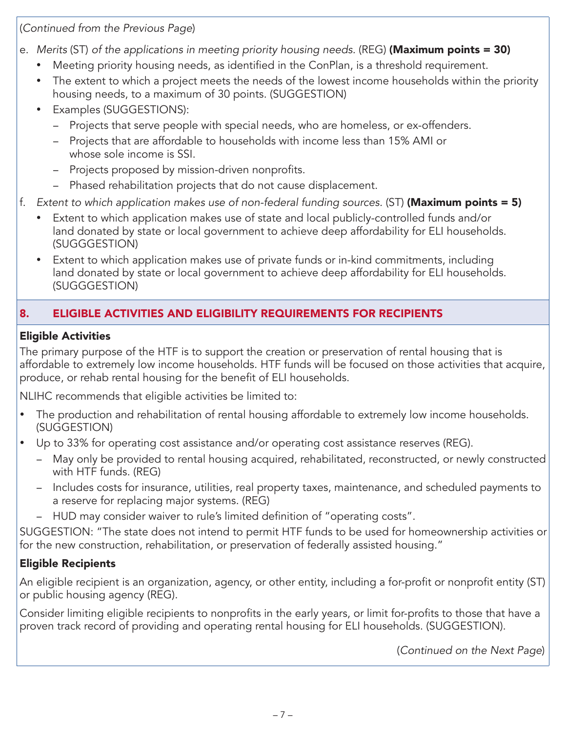(*Continued from the Previous Page*)

- e. *Merits* (ST) *of the applications in meeting priority housing needs.* (REG) (Maximum points = 30)
	- Meeting priority housing needs, as identified in the ConPlan, is a threshold requirement.
	- The extent to which a project meets the needs of the lowest income households within the priority housing needs, to a maximum of 30 points. (SUGGESTION)
	- **Examples (SUGGESTIONS):** 
		- − Projects that serve people with special needs, who are homeless, or ex-offenders.
		- − Projects that are affordable to households with income less than 15% AMI or whose sole income is SSI.
		- − Projects proposed by mission-driven nonprofits.
		- − Phased rehabilitation projects that do not cause displacement.
- f. *Extent to which application makes use of non-federal funding sources.* (ST) (Maximum points = 5)
	- Extent to which application makes use of state and local publicly-controlled funds and/or land donated by state or local government to achieve deep affordability for ELI households. (SUGGGESTION)
	- Extent to which application makes use of private funds or in-kind commitments, including land donated by state or local government to achieve deep affordability for ELI households. (SUGGGESTION)

# 8. ELIGIBLE ACTIVITIES AND ELIGIBILITY REQUIREMENTS FOR RECIPIENTS

## Eligible Activities

The primary purpose of the HTF is to support the creation or preservation of rental housing that is affordable to extremely low income households. HTF funds will be focused on those activities that acquire, produce, or rehab rental housing for the benefit of ELI households.

NLIHC recommends that eligible activities be limited to:

- The production and rehabilitation of rental housing affordable to extremely low income households. (SUGGESTION)
- Up to 33% for operating cost assistance and/or operating cost assistance reserves (REG).
	- − May only be provided to rental housing acquired, rehabilitated, reconstructed, or newly constructed with HTF funds. (REG)
	- − Includes costs for insurance, utilities, real property taxes, maintenance, and scheduled payments to a reserve for replacing major systems. (REG)
	- − HUD may consider waiver to rule's limited definition of "operating costs".

SUGGESTION: "The state does not intend to permit HTF funds to be used for homeownership activities or for the new construction, rehabilitation, or preservation of federally assisted housing."

# Eligible Recipients

An eligible recipient is an organization, agency, or other entity, including a for-profit or nonprofit entity (ST) or public housing agency (REG).

Consider limiting eligible recipients to nonprofits in the early years, or limit for-profits to those that have a proven track record of providing and operating rental housing for ELI households. (SUGGESTION).

(*Continued on the Next Page*)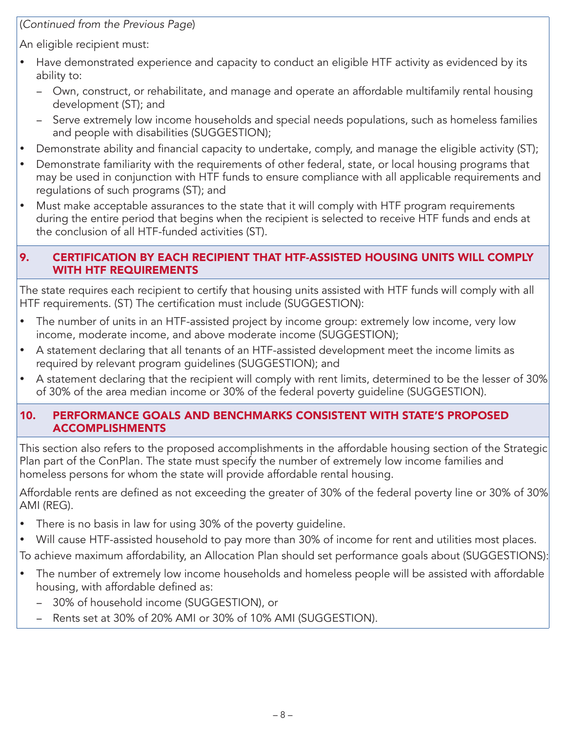(*Continued from the Previous Page*)

An eligible recipient must:

- Have demonstrated experience and capacity to conduct an eligible HTF activity as evidenced by its ability to:
	- − Own, construct, or rehabilitate, and manage and operate an affordable multifamily rental housing development (ST); and
	- − Serve extremely low income households and special needs populations, such as homeless families and people with disabilities (SUGGESTION);
- Demonstrate ability and financial capacity to undertake, comply, and manage the eligible activity (ST);
- Demonstrate familiarity with the requirements of other federal, state, or local housing programs that may be used in conjunction with HTF funds to ensure compliance with all applicable requirements and regulations of such programs (ST); and
- Must make acceptable assurances to the state that it will comply with HTF program requirements during the entire period that begins when the recipient is selected to receive HTF funds and ends at the conclusion of all HTF-funded activities (ST).

#### 9. CERTIFICATION BY EACH RECIPIENT THAT HTF-ASSISTED HOUSING UNITS WILL COMPLY WITH HTF REQUIREMENTS

The state requires each recipient to certify that housing units assisted with HTF funds will comply with all HTF requirements. (ST) The certification must include (SUGGESTION):

- The number of units in an HTF-assisted project by income group: extremely low income, very low income, moderate income, and above moderate income (SUGGESTION);
- A statement declaring that all tenants of an HTF-assisted development meet the income limits as required by relevant program guidelines (SUGGESTION); and
- A statement declaring that the recipient will comply with rent limits, determined to be the lesser of 30% of 30% of the area median income or 30% of the federal poverty guideline (SUGGESTION).

#### 10. PERFORMANCE GOALS AND BENCHMARKS CONSISTENT WITH STATE'S PROPOSED ACCOMPLISHMENTS

This section also refers to the proposed accomplishments in the affordable housing section of the Strategic Plan part of the ConPlan. The state must specify the number of extremely low income families and homeless persons for whom the state will provide affordable rental housing.

Affordable rents are defined as not exceeding the greater of 30% of the federal poverty line or 30% of 30% AMI (REG).

- There is no basis in law for using 30% of the poverty guideline.
- Will cause HTF-assisted household to pay more than 30% of income for rent and utilities most places.

To achieve maximum affordability, an Allocation Plan should set performance goals about (SUGGESTIONS):

- The number of extremely low income households and homeless people will be assisted with affordable housing, with affordable defined as:
	- − 30% of household income (SUGGESTION), or
	- Rents set at 30% of 20% AMI or 30% of 10% AMI (SUGGESTION).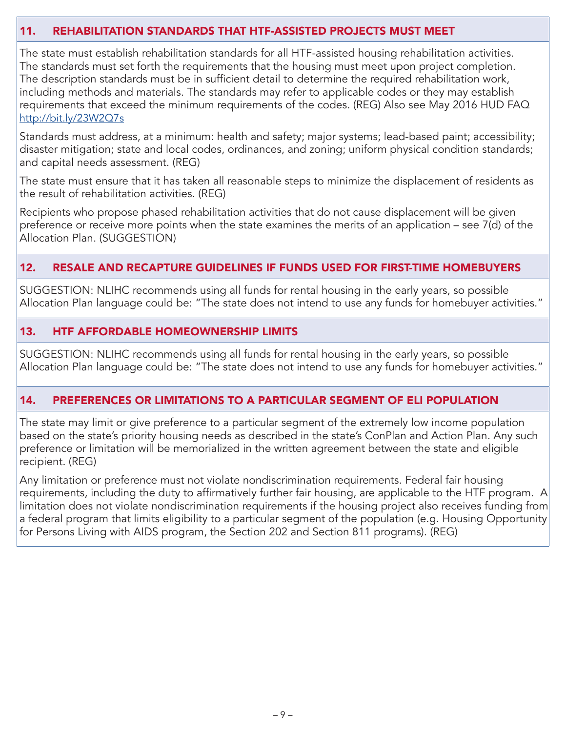#### 11. REHABILITATION STANDARDS THAT HTF-ASSISTED PROJECTS MUST MEET

The state must establish rehabilitation standards for all HTF-assisted housing rehabilitation activities. The standards must set forth the requirements that the housing must meet upon project completion. The description standards must be in sufficient detail to determine the required rehabilitation work, including methods and materials. The standards may refer to applicable codes or they may establish requirements that exceed the minimum requirements of the codes. (REG) Also see May 2016 HUD FAQ <http://bit.ly/23W2Q7s>

Standards must address, at a minimum: health and safety; major systems; lead-based paint; accessibility; disaster mitigation; state and local codes, ordinances, and zoning; uniform physical condition standards; and capital needs assessment. (REG)

The state must ensure that it has taken all reasonable steps to minimize the displacement of residents as the result of rehabilitation activities. (REG)

Recipients who propose phased rehabilitation activities that do not cause displacement will be given preference or receive more points when the state examines the merits of an application – see 7(d) of the Allocation Plan. (SUGGESTION)

#### 12. RESALE AND RECAPTURE GUIDELINES IF FUNDS USED FOR FIRST-TIME HOMEBUYERS

SUGGESTION: NLIHC recommends using all funds for rental housing in the early years, so possible Allocation Plan language could be: "The state does not intend to use any funds for homebuyer activities."

#### 13. HTF AFFORDABLE HOMEOWNERSHIP LIMITS

SUGGESTION: NLIHC recommends using all funds for rental housing in the early years, so possible Allocation Plan language could be: "The state does not intend to use any funds for homebuyer activities."

#### 14. PREFERENCES OR LIMITATIONS TO A PARTICULAR SEGMENT OF ELI POPULATION

The state may limit or give preference to a particular segment of the extremely low income population based on the state's priority housing needs as described in the state's ConPlan and Action Plan. Any such preference or limitation will be memorialized in the written agreement between the state and eligible recipient. (REG)

Any limitation or preference must not violate nondiscrimination requirements. Federal fair housing requirements, including the duty to affirmatively further fair housing, are applicable to the HTF program. A limitation does not violate nondiscrimination requirements if the housing project also receives funding from a federal program that limits eligibility to a particular segment of the population (e.g. Housing Opportunity for Persons Living with AIDS program, the Section 202 and Section 811 programs). (REG)